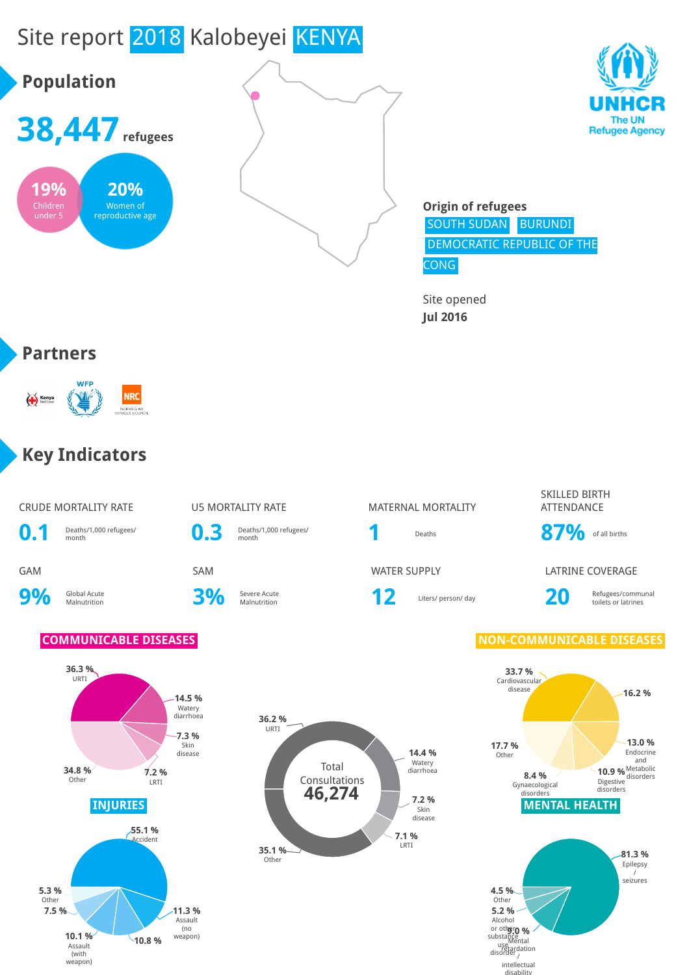



**Origin of refugees** SOUTH SUDAN BURUNDI DEMOCRATIC REPUBLIC OF THE CONG

Site opened **Jul 2016**

### **Partners**



## **Key Indicators**

### CRUDE MORTALITY RATE **US MORTALITY RATE** MATERNAL MORTALITY **0.1** Deaths/1,000 refugees/

**0.3** Deaths/1,000 refugees/

**9%** Global Acute

# **3%** Severe Acute





(with weapon)



Severe Acute **12** Liters/ person/ day **20** Refugees/communal Refugees/communal rollers or latrines

### SKILLED BIRTH ATTENDANCE

**1** Deaths **87%** of all births

### GAM SAM SAM SAM WATER SUPPLY LATRINE COVERAGE

toilets or latrines

### **COMMUNICABLE DISEASES NON-COMMUNICABLE DISEASES**

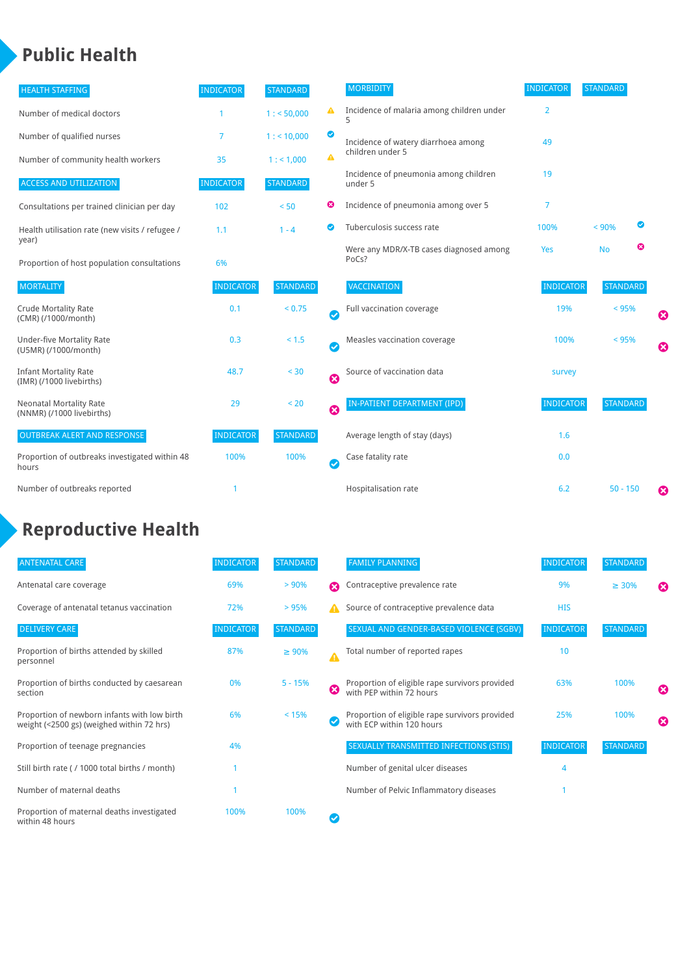# **Public Health**

| <b>HEALTH STAFFING</b>                                      | <b>INDICATOR</b> | <b>STANDARD</b> |                       | <b>MORBIDITY</b>                                 | <b>INDICATOR</b> | <b>STANDARD</b> |   |   |
|-------------------------------------------------------------|------------------|-----------------|-----------------------|--------------------------------------------------|------------------|-----------------|---|---|
| Number of medical doctors                                   |                  | 1: 50,000       | ▲                     | Incidence of malaria among children under<br>5   | $\overline{2}$   |                 |   |   |
| Number of qualified nurses                                  | $\overline{7}$   | 1:10,000        | ◙                     | Incidence of watery diarrhoea among              | 49               |                 |   |   |
| Number of community health workers                          | 35               | 1: 1,000        | ▲                     | children under 5                                 |                  |                 |   |   |
| <b>ACCESS AND UTILIZATION</b>                               | <b>INDICATOR</b> | <b>STANDARD</b> |                       | Incidence of pneumonia among children<br>under 5 | 19               |                 |   |   |
| Consultations per trained clinician per day                 | 102              | < 50            | ☺                     | Incidence of pneumonia among over 5              | 7                |                 |   |   |
| Health utilisation rate (new visits / refugee /             | 1.1              | $1 - 4$         | Ø                     | Tuberculosis success rate                        | 100%             | < 90%           | ◙ |   |
| year)<br>Proportion of host population consultations        | 6%               |                 |                       | Were any MDR/X-TB cases diagnosed among<br>PoCs? | Yes              | <b>No</b>       | ☺ |   |
| <b>MORTALITY</b>                                            | <b>INDICATOR</b> | <b>STANDARD</b> |                       | <b>VACCINATION</b>                               | <b>INDICATOR</b> | <b>STANDARD</b> |   |   |
| <b>Crude Mortality Rate</b><br>(CMR) (/1000/month)          | 0.1              | < 0.75          | $\bullet$             | Full vaccination coverage                        | 19%              | < 95%           |   | € |
| <b>Under-five Mortality Rate</b><br>(U5MR) (/1000/month)    | 0.3              | < 1.5           | Ø                     | Measles vaccination coverage                     | 100%             | < 95%           |   | Ø |
| <b>Infant Mortality Rate</b><br>(IMR) (/1000 livebirths)    | 48.7             | < 30            | Ø                     | Source of vaccination data                       | survey           |                 |   |   |
| <b>Neonatal Mortality Rate</b><br>(NNMR) (/1000 livebirths) | 29               | < 20            | $\boldsymbol{\Omega}$ | <b>IN-PATIENT DEPARTMENT (IPD)</b>               | <b>INDICATOR</b> | <b>STANDARD</b> |   |   |
| <b>OUTBREAK ALERT AND RESPONSE</b>                          | <b>INDICATOR</b> | <b>STANDARD</b> |                       | Average length of stay (days)                    | 1.6              |                 |   |   |
| Proportion of outbreaks investigated within 48<br>hours     | 100%             | 100%            | Ø                     | Case fatality rate                               | 0.0              |                 |   |   |
| Number of outbreaks reported                                |                  |                 |                       | Hospitalisation rate                             | 6.2              | $50 - 150$      |   | Ø |

# **Reproductive Health**

| <b>ANTENATAL CARE</b>                                                                     | <b>INDICATOR</b> | <b>STANDARD</b> |        | <b>FAMILY PLANNING</b>                                                      | <b>INDICATOR</b> | <b>STANDARD</b> |                       |
|-------------------------------------------------------------------------------------------|------------------|-----------------|--------|-----------------------------------------------------------------------------|------------------|-----------------|-----------------------|
| Antenatal care coverage                                                                   | 69%              | > 90%           | Ω      | Contraceptive prevalence rate                                               | 9%               | $\geq 30\%$     | $\boldsymbol{\omega}$ |
| Coverage of antenatal tetanus vaccination                                                 | 72%              | >95%            | А      | Source of contraceptive prevalence data                                     | <b>HIS</b>       |                 |                       |
| <b>DELIVERY CARE</b>                                                                      | <b>INDICATOR</b> | <b>STANDARD</b> |        | SEXUAL AND GENDER-BASED VIOLENCE (SGBV)                                     | <b>INDICATOR</b> | <b>STANDARD</b> |                       |
| Proportion of births attended by skilled<br>personnel                                     | 87%              | $\geq 90\%$     |        | Total number of reported rapes                                              | 10               |                 |                       |
| Proportion of births conducted by caesarean<br>section                                    | 0%               | $5 - 15%$       | Ø      | Proportion of eligible rape survivors provided<br>with PEP within 72 hours  | 63%              | 100%            | Ø                     |
| Proportion of newborn infants with low birth<br>weight (<2500 gs) (weighed within 72 hrs) | 6%               | < 15%           | $\sim$ | Proportion of eligible rape survivors provided<br>with ECP within 120 hours | 25%              | 100%            | ☎                     |
| Proportion of teenage pregnancies                                                         | 4%               |                 |        | SEXUALLY TRANSMITTED INFECTIONS (STIS)                                      | <b>INDICATOR</b> | <b>STANDARD</b> |                       |
| Still birth rate (/ 1000 total births / month)                                            |                  |                 |        | Number of genital ulcer diseases                                            | 4                |                 |                       |
| Number of maternal deaths                                                                 |                  |                 |        | Number of Pelvic Inflammatory diseases                                      |                  |                 |                       |
| Proportion of maternal deaths investigated<br>within 48 hours                             | 100%             | 100%            |        |                                                                             |                  |                 |                       |